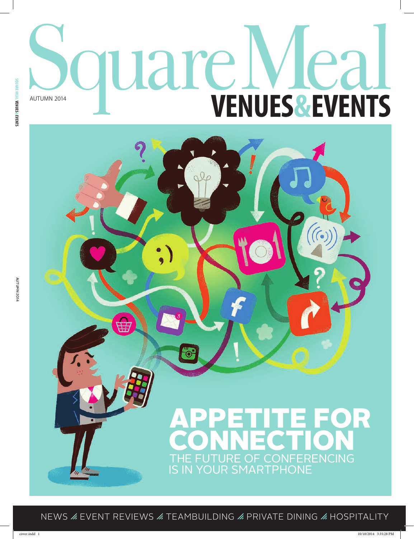# **Square VENUES&EVENTS**

## APPETITE FOR **CONNECTION** THE FUTURE OF CONFERENCING IS IN YOUR SMARTPHONE

NEWS  $\angle$  EVENT REVIEWS  $\angle$  TEAMBUILDING  $\angle$  PRIVATE DINING  $\angle$  HOSPITALITY